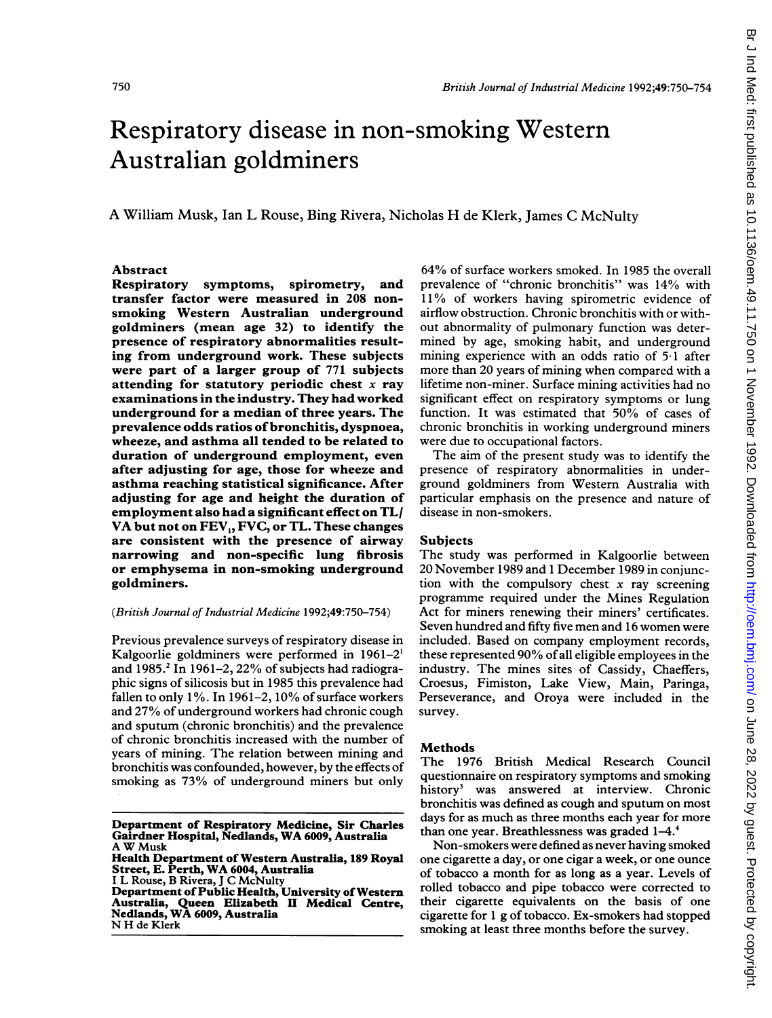# Respiratory disease in non-smoking Western Australian goldminers

A William Musk, Ian L Rouse, Bing Rivera, Nicholas H de Klerk, James C McNulty

#### Abstract

Respiratory symptoms, spirometry, and transfer factor were measured in <sup>208</sup> nonsmoking Western Australian underground goldminers (mean age 32) to identify the presence of respiratory abnormalities resulting from underground work. These subjects were part of a larger group of 771 subjects attending for statutory periodic chest  $x$  ray examinations in the industry. They had worked underground for a median of three years. The prevalence odds ratios of bronchitis, dyspnoea, wheeze, and asthma all tended to be related to duration of underground employment, even after adjusting for age, those for wheeze and asthma reaching statistical significance. After adjusting for age and height the duration of employment also had a significant effect on TL/ VA but not on FEV<sub>1</sub>, FVC, or TL. These changes are consistent with the presence of airway narrowing and non-specific lung fibrosis or emphysema in non-smoking underground goldminers.

## (British Journal of Industrial Medicine 1992;49:750-754)

Previous prevalence surveys of respiratory disease in Kalgoorlie goldminers were performed in 1961-2' and  $1985.<sup>2</sup>$  In 1961-2, 22% of subjects had radiographic signs of silicosis but in 1985 this prevalence had fallen to only 1%. In 1961-2, 10% of surface workers and 27% of underground workers had chronic cough and sputum (chronic bronchitis) and the prevalence of chronic bronchitis increased with the number of years of mining. The relation between mining and bronchitis was confounded, however, by the effects of smoking as 73% of underground miners but only

N H de Klerk

64% of surface workers smoked. In 1985 the overall prevalence of "chronic bronchitis" was 14% with <sup>11</sup> % of workers having spirometric evidence of airflow obstruction. Chronic bronchitis with or without abnormality of pulmonary function was determined by age, smoking habit, and underground mining experience with an odds ratio of 51 after more than 20 years of mining when compared with a lifetime non-miner. Surface mining activities had no significant effect on respiratory symptoms or lung function. It was estimated that 50% of cases of chronic bronchitis in working underground miners were due to occupational factors.

The aim of the present study was to identify the presence of respiratory abnormalities in underground goldminers from Western Australia with particular emphasis on the presence and nature of disease in non-smokers.

#### Subjects

The study was performed in Kalgoorlie between 20 November 1989 and <sup>1</sup> December 1989 in conjunction with the compulsory chest  $x$  ray screening programme required under the Mines Regulation Act for miners renewing their miners' certificates. Seven hundred and fifty five men and 16 women were included. Based on company employment records, these represented 90% of all eligible employees in the industry. The mines sites of Cassidy, Chaeffers, Croesus, Fimiston, Lake View, Main, Paringa, Perseverance, and Oroya were included in the survey.

#### Methods

The 1976 British Medical Research Council questionnaire on respiratory symptoms and smoking history<sup>3</sup> was answered at interview. Chronic bronchitis was defined as cough and sputum on most days for as much as three months each year for more than one year. Breathlessness was graded 1-4.4

Non-smokers were defined as never having smoked one cigarette a day, or one cigar a week, or one ounce of tobacco a month for as long as a year. Levels of rolled tobacco and pipe tobacco were corrected to their cigarette equivalents on the basis of one cigarette for <sup>1</sup> g of tobacco. Ex-smokers had stopped smoking at least three months before the survey.

Department of Respiratory Medicine, Sir Charles Gairdner Hospital, Nedlands, WA 6009, Australia A W Musk

Health Department of Western Australia, 189 Royal Street, E. Perth, WA 6004, Australia <sup>I</sup> L Rouse, B Rivera, <sup>J</sup> C McNulty Department of Public Health, University of Western Australia, Queen Elizabeth II Medical Centre, Nedlands, WA 6009, Australia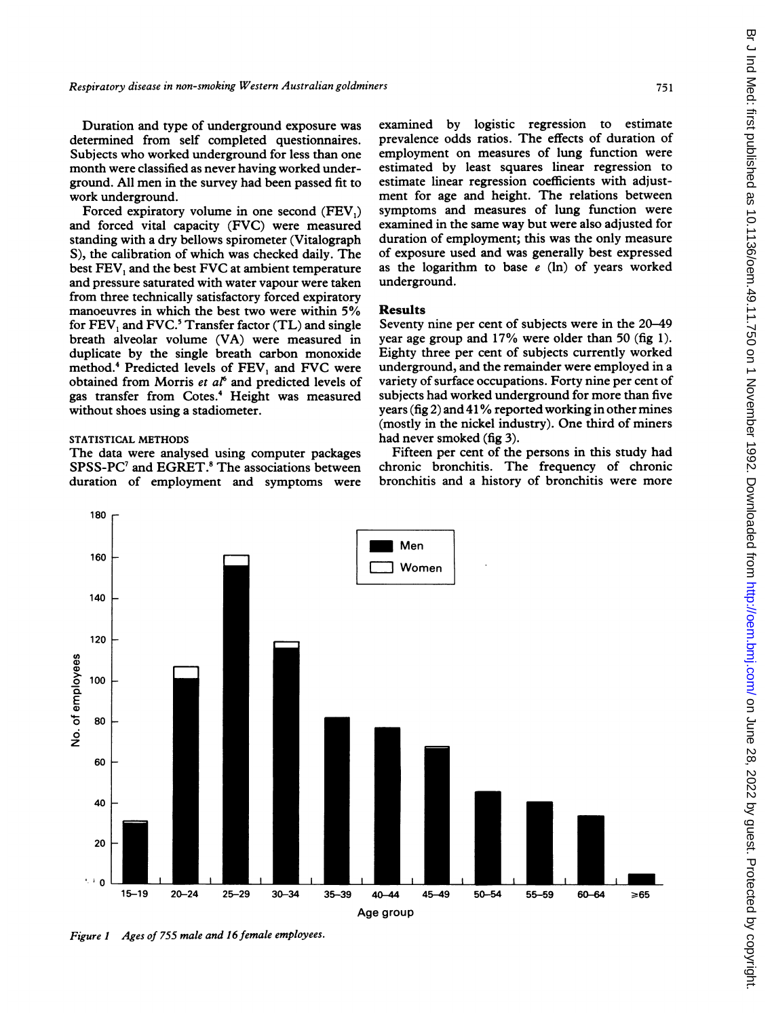Duration and type of underground exposure was determined from self completed questionnaires. Subjects who worked underground for less than one month were classified as never having worked underground. All men in the survey had been passed fit to work underground.

Forced expiratory volume in one second (FEV,) and forced vital capacity (FVC) were measured standing with a dry bellows spirometer (Vitalograph S), the calibration of which was checked daily. The best FEV, and the best FVC at ambient temperature and pressure saturated with water vapour were taken from three technically satisfactory forced expiratory manoeuvres in which the best two were within 5% for  $FEV$ , and  $FVC$ .<sup>5</sup> Transfer factor  $(TL)$  and single breath alveolar volume (VA) were measured in duplicate by the single breath carbon monoxide method.4 Predicted levels of FEV, and FVC were obtained from Morris et  $aI^6$  and predicted levels of gas transfer from Cotes.4 Height was measured without shoes using a stadiometer.

## STATISTICAL METHODS

The data were analysed using computer packages SPSS-PC<sup>7</sup> and EGRET.<sup>8</sup> The associations between duration of employment and symptoms were examined by logistic regression to estimate prevalence odds ratios. The effects of duration of employment on measures of lung function were estimated by least squares linear regression to estimate linear regression coefficients with adjustment for age and height. The relations between symptoms and measures of lung function were examined in the same way but were also adjusted for duration of employment; this was the only measure of exposure used and was generally best expressed as the logarithm to base  $e$  (ln) of years worked underground.

## Results

Seventy nine per cent of subjects were in the 20-49 year age group and 17% were older than 50 (fig 1). Eighty three per cent of subjects currently worked underground, and the remainder were employed in a variety of surface occupations. Forty nine per cent of subjects had worked underground for more than five years (fig 2) and <sup>41</sup>% reported working in other mines (mostly in the nickel industry). One third of miners had never smoked (fig 3).

Fifteen per cent of the persons in this study had chronic bronchitis. The frequency of chronic bronchitis and a history of bronchitis were more



Figure <sup>1</sup> Ages of 755 male and 16 female employees.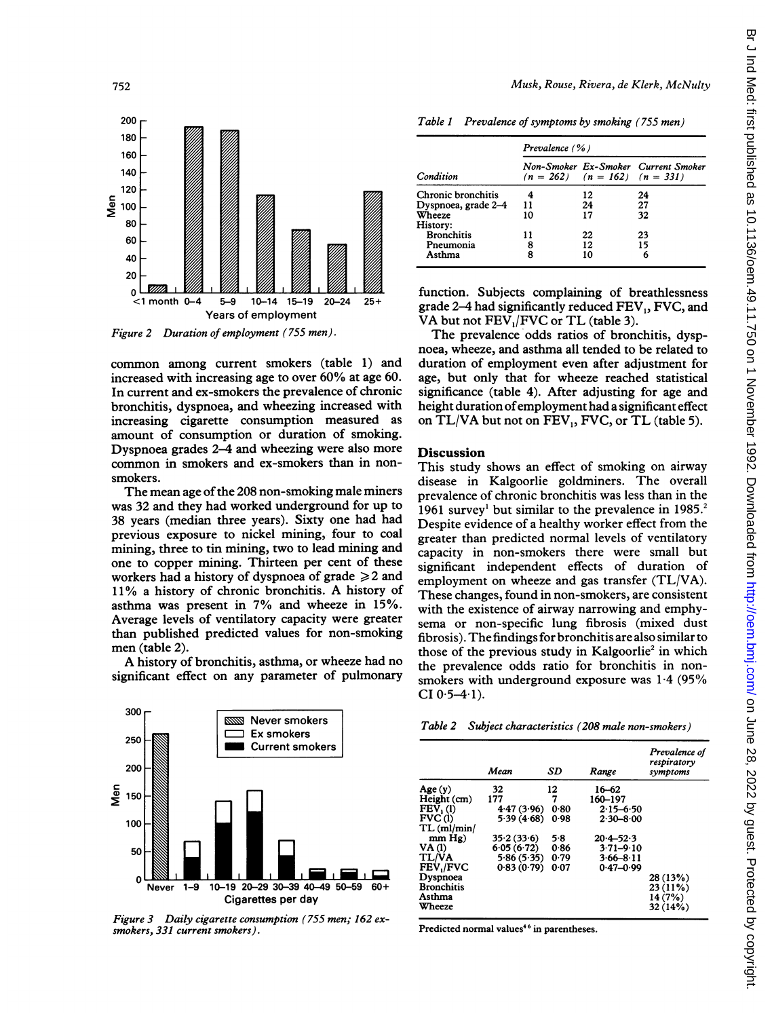

Figure 2 Duration of employment (755 men) .

common among current smokers (table 1) and increased with increasing age to over 60% at age 60. In current and ex-smokers the prevalence of chronic bronchitis, dyspnoea, and wheezing increased with increasing cigarette consumption measured as amount of consumption or duration of smoking. Dyspnoea grades 2-4 and wheezing were also more common in smokers and ex-smokers than in nonsmokers.

The mean age of the 208 non-smoking male miners was 32 and they had worked underground for up to 38 years (median three years). Sixty one had had previous exposure to nickel mining, four to coal mining, three to tin mining, two to lead mining and one to copper mining. Thirteen per cent of these workers had a history of dyspnoea of grade  $\geq 2$  and 11% <sup>a</sup> history of chronic bronchitis. A history of asthma was present in 7% and wheeze in 15%. Average levels of ventilatory capacity were greater than published predicted values for non-smoking men (table 2).

A history of bronchitis, asthma, or wheeze had no significant effect on any parameter of pulmonary



Figure 3 Daily cigarette consumption (755 men; 162 exsmokers, 331 current smokers).

Musk, Rouse, Rivera, de Klerk, McNulty

|  |  | Table 1 Prevalence of symptoms by smoking (755 men) |  |  |
|--|--|-----------------------------------------------------|--|--|
|--|--|-----------------------------------------------------|--|--|

|                     | Prevalence (%)                      |     |                                     |  |
|---------------------|-------------------------------------|-----|-------------------------------------|--|
| Condition           | $(n = 262)$ $(n = 162)$ $(n = 331)$ |     | Non-Smoker Ex-Smoker Current Smoker |  |
| Chronic bronchitis  |                                     | 12  | 24                                  |  |
| Dyspnoea, grade 2-4 | 11                                  | 24  | 27                                  |  |
| Wheeze              | 10                                  | 17  | 32                                  |  |
| History:            |                                     |     |                                     |  |
| <b>Bronchitis</b>   | 11                                  | 22  | 23                                  |  |
| Pneumonia           | 8                                   | 12. | 15                                  |  |
| Asthma              | 8                                   | 10  | 6                                   |  |

function. Subjects complaining of breathlessness grade 2-4 had significantly reduced FEV,, FVC, and VA but not FEV<sub>1</sub>/FVC or TL (table 3).

The prevalence odds ratios of bronchitis, dyspnoea, wheeze, and asthma all tended to be related to duration of employment even after adjustment for age, but only that for wheeze reached statistical significance (table 4). After adjusting for age and height duration ofemployment had a significant effect on TL/VA but not on FEV,, FVC, or TL (table 5).

#### **Discussion**

This study shows an effect of smoking on airway disease in Kalgoorlie goldminers. The overall prevalence of chronic bronchitis was less than in the 1961 survey<sup>1</sup> but similar to the prevalence in  $1985$ <sup>2</sup> Despite evidence of a healthy worker effect from the greater than predicted normal levels of ventilatory capacity in non-smokers there were small but significant independent effects of duration of employment on wheeze and gas transfer (TL/VA). These changes, found in non-smokers, are consistent with the existence of airway narrowing and emphysema or non-specific lung fibrosis (mixed dust fibrosis). Thefindings for bronchitis are also similar to those of the previous study in Kalgoorlie<sup>2</sup> in which the prevalence odds ratio for bronchitis in nonsmokers with underground exposure was  $1.4$  (95%)  $CI 0.5-4.1$ .

| Table 2 Subject characteristics (208 male non-smokers) |  |
|--------------------------------------------------------|--|
|--------------------------------------------------------|--|

|                   | Mean       | SD   | Range         | Prevalence of<br>respiratory<br>symptoms |
|-------------------|------------|------|---------------|------------------------------------------|
| Age(y)            | 32         | 12   | $16 - 62$     |                                          |
| Height (cm)       | 177        | 7    | 160-197       |                                          |
| $FEV1$ (1)        | 4.47(3.96) | 0.80 | $2.15 - 6.50$ |                                          |
| FVC(1)            | 5.39(4.68) | 0.98 | $2.30 - 8.00$ |                                          |
| TL (ml/min)       |            |      |               |                                          |
| mm Hg)            | 35.2(33.6) | 5.8  | $20.4 - 52.3$ |                                          |
| <b>VA</b> (1)     | 6.05(6.72) | 0.86 | $3.71 - 9.10$ |                                          |
| <b>TL/VA</b>      | 5.86(5.35) | 0.79 | $3.66 - 8.11$ |                                          |
| FEV./FVC          | 0.83(0.79) | 0.07 | $0.47 - 0.99$ |                                          |
| Dyspnoea          |            |      |               | 28 (13%)                                 |
| <b>Bronchitis</b> |            |      |               | 23 (11%)                                 |
| Asthma            |            |      |               | 14 (7%)                                  |
| Wheeze            |            |      |               | 32 (14%)                                 |

Predicted normal values<sup>46</sup> in parentheses.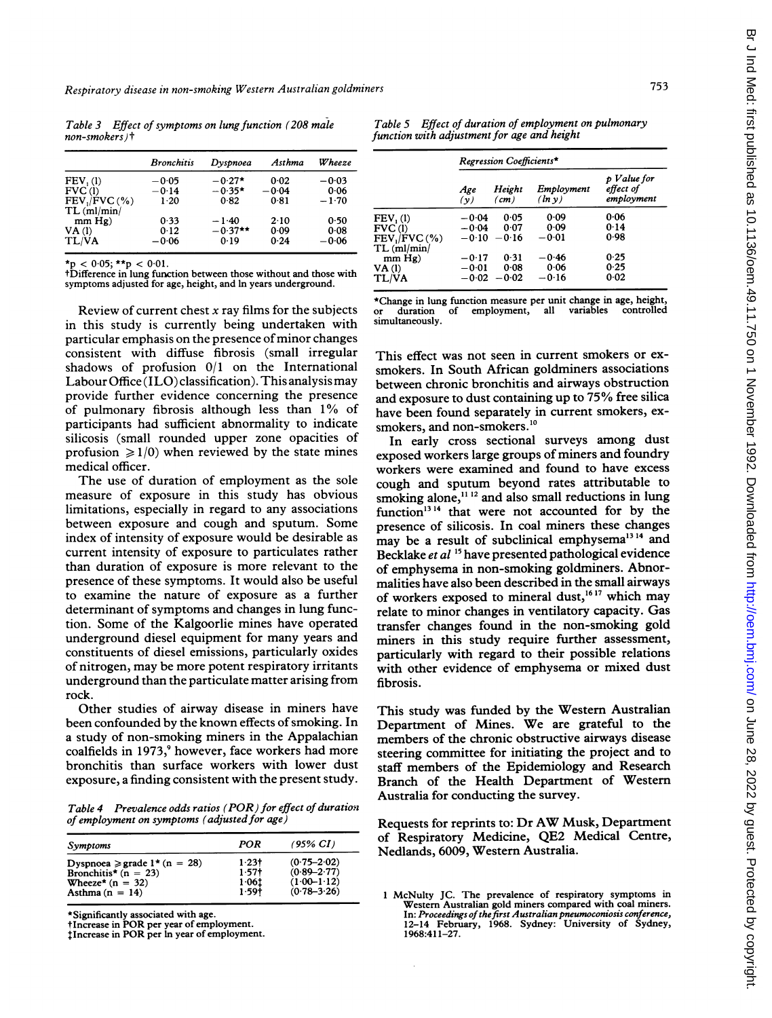Table 3 Effect of symptoms on lung function (208 male  $non-smokers$ ) $\dagger$ 

|                      | <b>Bronchitis</b> | Dvspnoea  | Asthma  | Wheeze  |
|----------------------|-------------------|-----------|---------|---------|
| FEV <sub>1</sub> (1) | $-0.05$           | $-0.27*$  | 0.02    | $-0.03$ |
| FVC(1)               | $-0.14$           | $-0.35*$  | $-0.04$ | 0.06    |
| $FEV, /FVC$ (%)      | 1.20              | 0.82      | 0.81    | $-1.70$ |
| TL (ml/min)          |                   |           |         |         |
| mm Hg)               | 0.33              | $-1.40$   | 2.10    | 0.50    |
| VA(1)                | 0.12              | $-0.37**$ | 0.09    | 0.08    |
| <b>TL/VA</b>         | $-0.06$           | 0.19      | 0.24    | $-0.06$ |

 $*_{p}$  < 0.05;  $*_{p}$  < 0.01.

tDifference in lung function between those without and those with symptoms adjusted for age, height, and In years underground.

Review of current chest  $x$  ray films for the subjects in this study is currently being undertaken with particular emphasis on the presence of minor changes consistent with diffuse fibrosis (small irregular shadows of profusion 0/1 on the International Labour Office (ILO) classification). This analysis may provide further evidence concerning the presence of pulmonary fibrosis although less than 1% of participants had sufficient abnormality to indicate silicosis (small rounded upper zone opacities of profusion  $\geq 1/0$ ) when reviewed by the state mines medical officer.

The use of duration of employment as the sole measure of exposure in this study has obvious limitations, especially in regard to any associations between exposure and cough and sputum. Some index of intensity of exposure would be desirable as current intensity of exposure to particulates rather than duration of exposure is more relevant to the presence of these symptoms. It would also be useful to examine the nature of exposure as a further determinant of symptoms and changes in lung function. Some of the Kalgoorlie mines have operated underground diesel equipment for many years and constituents of diesel emissions, particularly oxides of nitrogen, may be more potent respiratory irritants underground than the particulate matter arising from rock.

Other studies of airway disease in miners have been confounded by the known effects of smoking. In a study of non-smoking miners in the Appalachian coalfields in 1973,<sup>9</sup> however, face workers had more bronchitis than surface workers with lower dust exposure, a finding consistent with the present study.

Table 4 Prevalence odds ratios (POR) for effect of duration of employment on symptoms (adjusted for age)

| Symptoms                         | POR     | $(95\% \ CI)$   |
|----------------------------------|---------|-----------------|
| Dyspnoea $\ge$ grade 1* (n = 28) | $1.23+$ | $(0.75 - 2.02)$ |
| Bronchitis* $(n = 23)$           | $1.57+$ | $(0.89 - 2.77)$ |
| Wheeze* $(n = 32)$               | 1.061   | $(1.00-1.12)$   |
| Asthma $(n = 14)$                | $1.59+$ | $(0.78 - 3.26)$ |

\*Significantly associated with age.

tIncrease in POR per year of employment. lIncrease in POR per In year of employment.

Table 5 Effect of duration of employment on pulmonary function with adjustment for age and height

|                                   | Regression Coefficients* |                           |                      |                                        |
|-----------------------------------|--------------------------|---------------------------|----------------------|----------------------------------------|
|                                   | Age<br>(y)               | Height<br>$\epsilon$ (cm) | Employment<br>(ln v) | p Value for<br>effect of<br>employment |
| FEV(1)                            | $-0.04$                  | 0.05                      | 0.09                 | 0.06                                   |
| FVC(1)                            | $-0.04$                  | 0.07                      | 0.09                 | 0.14                                   |
| $FEV$ , $/FVC$ (%)<br>TL (ml/min) | $-0.10$                  | $-0.16$                   | $-0.01$              | 0.98                                   |
| $mm$ Hg)                          | $-0.17$                  | 0.31                      | $-0.46$              | 0.25                                   |
| VA(1)                             | $-0.01$                  | 0.08                      | 0.06                 | 0.25                                   |
| TL/VA                             | $-0.02$                  | $-0.02$                   | $-0.16$              | 0.02                                   |

\*Change in lung function measure per unit change in age, height, employment, simultaneously.

This effect was not seen in current smokers or exsmokers. In South African goldminers associations between chronic bronchitis and airways obstruction and exposure to dust containing up to <sup>75</sup> % free silica have been found separately in current smokers, exsmokers, and non-smokers.<sup>10</sup>

In early cross sectional surveys among dust exposed workers large groups of miners and foundry workers were examined and found to have excess cough and sputum beyond rates attributable to smoking alone,<sup>1112</sup> and also small reductions in lung function'3 <sup>14</sup> that were not accounted for by the presence of silicosis. In coal miners these changes may be a result of subclinical emphysema<sup>1314</sup> and Becklake et al '5 have presented pathological evidence of emphysema in non-smoking goldminers. Abnormalities have also been described in the small airways of workers exposed to mineral dust,<sup>1617</sup> which may relate to minor changes in ventilatory capacity. Gas transfer changes found in the non-smoking gold miners in this study require further assessment, particularly with regard to their possible relations with other evidence of emphysema or mixed dust fibrosis.

This study was funded by the Western Australian Department of Mines. We are grateful to the members of the chronic obstructive airways disease steering committee for initiating the project and to staff members of the Epidemiology and Research Branch of the Health Department of Westem Australia for conducting the survey.

Requests for reprints to: Dr AW Musk, Department of Respiratory Medicine, QE2 Medical Centre, Nedlands, 6009, Western Australia.

<sup>1</sup> McNulty JC. The prevalence of respiratory symptoms in Western Australian gold miners compared with coal miners. In: Proceedings of the first Australian pneumoconiosis conference, 12-14 February, 1968. Sydney: University of Sydney, 1968:411-27.